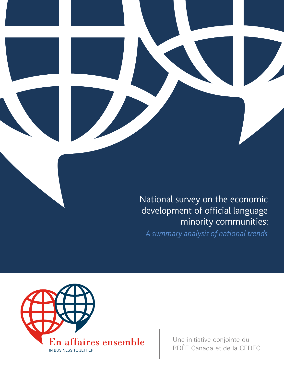

*A summary analysis of national trends*



Une initiative conjointe du RDÉE Canada et de la CEDEC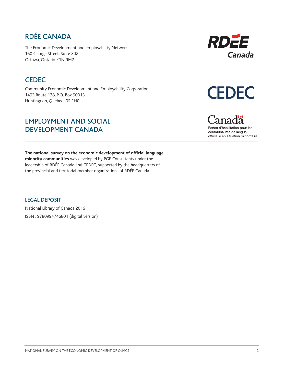# RDÉE CANADA

The Economic Development and employability Network 160 George Street, Suite 202 Ottawa, Ontario K1N 9M2

### **CEDEC**

Community Economic Development and Employability Corporation 1493 Route 138, P.O. Box 90013 Huntingdon, Quebec J0S 1H0

### EMPLOYMENT AND SOCIAL DEVELOPMENT CANADA

**The national survey on the economic development of official language minority communities** was developed by PGF Consultants under the leadership of RDÉE Canada and CEDEC, supported by the headquarters of the provincial and territorial member organizations of RDÉE Canada.

#### LEGAL DEPOSIT

National Library of Canada 2016 ISBN : 9780994746801 (digital version)



# **CEDEC**

# anadä

Fonds d'habilitation pour les communautés de langue officielle en situation minoritaire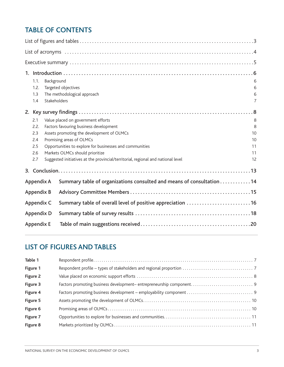# TABLE OF CONTENTS

|                                                | 1.1.                        | Background   |                                                                                  | 6              |  |  |  |  |
|------------------------------------------------|-----------------------------|--------------|----------------------------------------------------------------------------------|----------------|--|--|--|--|
|                                                | Targeted objectives<br>1.2. |              |                                                                                  |                |  |  |  |  |
|                                                | 1.3                         |              | The methodological approach                                                      | 6              |  |  |  |  |
|                                                | 1.4                         | Stakeholders |                                                                                  | $\overline{7}$ |  |  |  |  |
|                                                |                             |              |                                                                                  |                |  |  |  |  |
|                                                | 2.1                         |              | Value placed on government efforts                                               | 8              |  |  |  |  |
| 2.2.<br>Factors favouring business development |                             |              |                                                                                  |                |  |  |  |  |
|                                                | 2.3                         |              | Assets promoting the development of OLMCs                                        | 10             |  |  |  |  |
|                                                | 2.4                         |              | Promising areas of OLMCs                                                         | 10             |  |  |  |  |
|                                                | 2.5                         |              | Opportunities to explore for businesses and communities                          | 11             |  |  |  |  |
|                                                | 2.6                         |              | Markets OLMCs should prioritize                                                  | 11             |  |  |  |  |
|                                                | 2.7                         |              | Suggested initiatives at the provincial/territorial, regional and national level | 12             |  |  |  |  |
|                                                |                             |              |                                                                                  |                |  |  |  |  |
|                                                | Appendix A                  |              | Summary table of organizations consulted and means of consultation 14            |                |  |  |  |  |
|                                                | <b>Appendix B</b>           |              |                                                                                  |                |  |  |  |  |
|                                                | Appendix C                  |              | Summary table of overall level of positive appreciation 16                       |                |  |  |  |  |
|                                                | <b>Appendix D</b>           |              |                                                                                  |                |  |  |  |  |
|                                                | <b>Appendix E</b>           |              |                                                                                  |                |  |  |  |  |

# LIST OF FIGURES AND TABLES

| Table 1  |  |
|----------|--|
| Figure 1 |  |
| Figure 2 |  |
| Figure 3 |  |
| Figure 4 |  |
| Figure 5 |  |
| Figure 6 |  |
| Figure 7 |  |
| Figure 8 |  |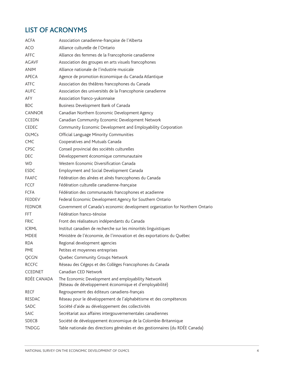# LIST OF ACRONYMS

| <b>ACFA</b>    | Association canadienne-française de l'Alberta                                                                 |
|----------------|---------------------------------------------------------------------------------------------------------------|
| <b>ACO</b>     | Alliance culturelle de l'Ontario                                                                              |
| AFFC           | Alliance des femmes de la Francophonie canadienne                                                             |
| <b>AGAVF</b>   | Association des groupes en arts visuels francophones                                                          |
| <b>ANIM</b>    | Alliance nationale de l'industrie musicale                                                                    |
| APECA          | Agence de promotion économique du Canada Atlantique                                                           |
| <b>ATFC</b>    | Association des théâtres francophones du Canada                                                               |
| <b>AUFC</b>    | Association des universités de la Francophonie canadienne                                                     |
| <b>AFY</b>     | Association franco-yukonnaise                                                                                 |
| <b>BDC</b>     | Business Development Bank of Canada                                                                           |
| <b>CANNOR</b>  | Canadian Northern Economic Development Agency                                                                 |
| <b>CCEDN</b>   | Canadian Community Economic Development Network                                                               |
| <b>CEDEC</b>   | Community Economic Development and Employability Corporation                                                  |
| <b>OLMCs</b>   | Official Language Minority Communities                                                                        |
| <b>CMC</b>     | Cooperatives and Mutuals Canada                                                                               |
| <b>CPSC</b>    | Conseil provincial des sociétés culturelles                                                                   |
| <b>DEC</b>     | Développement économique communautaire                                                                        |
| WD.            | Western Economic Diversification Canada                                                                       |
| <b>ESDC</b>    | Employment and Social Development Canada                                                                      |
| <b>FAAFC</b>   | Fédération des aînées et aînés francophones du Canada                                                         |
| <b>FCCF</b>    | Fédération culturelle canadienne-française                                                                    |
| <b>FCFA</b>    | Fédération des communautés francophones et acadienne                                                          |
| <b>FEDDEV</b>  | Federal Economic Development Agency for Southern Ontario                                                      |
| <b>FEDNOR</b>  | Government of Canada's economic development organization for Northern Ontario                                 |
| FFT.           | Fédération franco-ténoise                                                                                     |
| <b>FRIC</b>    | Front des réalisateurs indépendants du Canada                                                                 |
| <b>ICRML</b>   | Institut canadien de recherche sur les minorités linguistiques                                                |
| <b>MDEIE</b>   | Ministère de l'économie, de l'innovation et des exportations du Québec                                        |
| <b>RDA</b>     | Regional development agencies                                                                                 |
| <b>PME</b>     | Petites et moyennes entreprises                                                                               |
| QCGN           | Quebec Community Groups Network                                                                               |
| <b>RCCFC</b>   | Réseau des Cégeps et des Collèges Francophones du Canada                                                      |
| <b>CCEDNET</b> | Canadian CED Network                                                                                          |
| RDÉE CANADA    | The Economic Development and employability Network<br>(Réseau de développement économique et d'employabilité) |
| <b>RECF</b>    | Regroupement des éditeurs canadiens-français                                                                  |
| <b>RESDAC</b>  | Réseau pour le développement de l'alphabétisme et des compétences                                             |
| <b>SADC</b>    | Société d'aide au développement des collectivités                                                             |
| <b>SAIC</b>    | Secrétariat aux affaires intergouvernementales canadiennes                                                    |
| <b>SDECB</b>   | Société de développement économique de la Colombie-Britannique                                                |
| <b>TNDGG</b>   | Table nationale des directions générales et des gestionnaires (du RDÉE Canada)                                |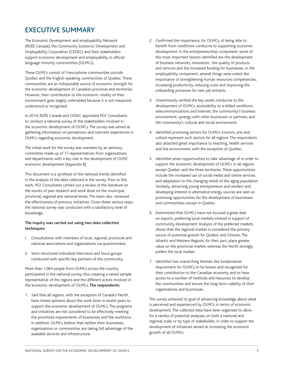### EXECUTIVE SUMMARY

The Economic Development and employability Network (RDÉE Canada), the Community Economic Development and Employability Corporation (CEDEC) and their stakeholders support economic development and employability in official language minority communities (OLMCs).

These OLMCs consist of Francophone communities outside Quebec and the English-speaking communities of Quebec. These communities are an indisputable source of economic strength for the economic development of Canadian provinces and territories. However, their contribution to the economic vitality of their environment goes largely unheralded because it is not measured, understood or recognized.

In 2014, RDÉE Canada and CEDEC appointed PGF Consultants to conduct a national survey of the stakeholders involved in the economic development of OLMCs. The survey was aimed at gathering information on perceptions and concrete experiences in OLMCs regarding economic development.

The initial work for the survey was overseen by an advisory committee made up of 17 representatives from organizations and departments with a key role in the development of OLMC economic development (Appendix B).

This document is a synthesis of the national trends identified in the analysis of the data collected in the survey. Prior to this work, PGF Consultants carried out a review of the literature on the results of past research and work done on the municipal, provincial, regional and national levels. The team also reviewed the effectiveness of previous initiatives. Given these various steps, the national survey was conducted with a satisfactory level of knowledge.

#### **The inquiry was carried out using two data collection techniques:**

- I. Consultations with members of local, regional, provincial and national associations and organizations via questionnaire;
- II. Semi-structured individual interviews and focus groups conducted with specific key partners of the community.

More than 1,064 people from OLMCs across the country participated in the national survey, thus creating a varied sample representative of the regions and the different actors involved in the economic development of OLMCs. **The respondents:** 

1. Said that all regions, with the exception of Canada's North, have mixed opinions about the work done in recent years to support the economic development of OLMCs. The programs and initiatives are not considered to be effectively meeting the prioritized requirements of businesses and the workforce. In addition, OLMCs believe that neither their businesses, organizations or communities are taking full advantage of the available services and infrastructure.

- 2. Confirmed the importance, for OLMCs, of being able to benefit from conditions conducive to supporting economic development. In the entrepreneurship component, some of the most important factors identified are the development of business networks, innovation, the quality of products and services and the increased funding for businesses. In the employability component, several things were noted: the importance of strengthening human resources competencies, increasing productivity, reducing costs and improving the onboarding processes for new job entrants.
- 3. Unanimously verified the key assets conducive to the development of OLMCs: accessibility to a skilled workforce, telecommunications and Internet, the community's business environment, synergy with other businesses or partners, and the community's cultural and social environment.
- 4. Identified promising sectors for OLMCs: tourism, arts and culture represent such sectors for all regions. The respondents also attached great importance to teaching, health services and the environment, with the exception of Quebec.
- 5. Identified seven opportunities to take advantage of in order to support the economic development of OLMCs in all regions except Quebec and the three territories. These opportunities include the increased use of social media and online services and adaptation to the changing needs of the aging population. Similarly, attracting young entrepreneurs and workers and developing interest in alternative energy sources are seen as promising opportunities for the development of businesses and communities, except in Quebec.
- 6. Determined that OLMCs have not focused a great deal on exports, preferring local markets instead in support of community development. Analysis of the preferred markets shows that the regional market is considered the primary source of potential growth for Quebec and Ontario. The Atlantic and Western Regions, for their part, place greater value on the provincial market, whereas the North strongly prefers the local market.
- 7. Identified two overarching themes: the fundamental requirement for OLMCs to be known and recognized for their contribution to the Canadian economy and to have access to a number of methods and resources to develop the communities and ensure the long-term viability of their organizations and businesses.

The survey achieved its goal of advancing knowledge about what is perceived and experienced by OLMCs in terms of economic development. The collected data have been organized to allow for a variety of potential analyses, on both a national and regional scale, or by type of stakeholder, in order to support the development of initiatives aimed at increasing the economic growth of all OLMCs.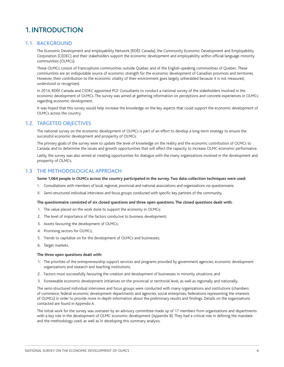## 1.INTRODUCTION

#### 1.1. BACKGROUND

The Economic Development and employability Network (RDÉE Canada), the Community Economic Development and Employability Corporation (CEDEC) and their stakeholders support the economic development and employability within official language minority communities (OLMCs).

These OLMCs consist of Francophone communities outside Quebec and of the English-speaking communities of Quebec. These communities are an indisputable source of economic strength for the economic development of Canadian provinces and territories. However, their contribution to the economic vitality of their environment goes largely unheralded because it is not measured, understood or recognized.

In 2014, RDÉE Canada and CEDEC appointed PGF Consultants to conduct a national survey of the stakeholders involved in the economic development of OLMCs. The survey was aimed at gathering information on perceptions and concrete experiences in OLMCs regarding economic development.

It was hoped that this survey would help increase the knowledge on the key aspects that could support the economic development of OLMCs across the country.

#### 1.2. TARGETED OBJECTIVES

The national survey on the economic development of OLMCs is part of an effort to develop a long-term strategy to ensure the successful economic development and prosperity of OLMCs.

The primary goals of the survey were to update the level of knowledge on the reality and the economic contribution of OLMCs to Canada, and to determine the issues and growth opportunities that will affect the capacity to increase OLMC economic performance.

Lastly, the survey was also aimed at creating opportunities for dialogue with the many organizations involved in the development and prosperity of OLMCs.

#### 1.3 THE METHODOLOGICAL APPROACH

#### **Some 1,064 people in OLMCs across the country participated in the survey. Two data-collection techniques were used:**

- I. Consultations with members of local, regional, provincial and national associations and organizations via questionnaire;
- II. Semi-structured individual interviews and focus groups conducted with specific key partners of the community.

#### **The questionnaire consisted of six closed questions and three open questions. The closed questions dealt with:**

- 1. The value placed on the work done to support the economy in OLMCs;
- 2. The level of importance of the factors conducive to business development;
- 3. Assets favouring the development of OLMCs;
- 4. Promising sectors for OLMCs;
- 5. Trends to capitalize on for the development of OLMCs and businesses;
- 6. Target markets.

#### **The three open questions dealt with:**

- 1. The priorities of the entrepreneurship support services and programs provided by government agencies, economic development organizations and research and teaching institutions;
- 2. Factors most successfully favouring the creation and development of businesses in minority situations; and
- 3. Foreseeable economic development initiatives on the provincial or territorial level, as well as regionally and nationally.

The semi-structured individual interviews and focus groups were conducted with many organizations and institutions (chambers of commerce, federal economic development departments and agencies, social enterprises, federations representing the interests of OLMCs) in order to provide more in-depth information about the preliminary results and findings. Details on the organizations contacted are found in Appendix A.

The initial work for the survey was overseen by an advisory committee made up of 17 members from organizations and departments with a key role in the development of OLMC economic development (Appendix B). They had a critical role in defining the mandate and the methodology used, as well as in developing this summary analysis.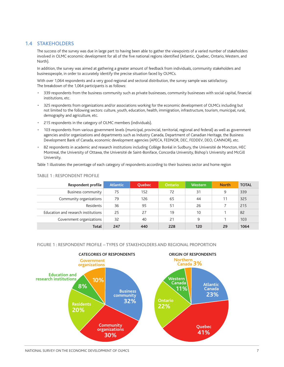#### 1.4 STAKEHOLDERS

The success of the survey was due in large part to having been able to gather the viewpoints of a varied number of stakeholders involved in OLMC economic development for all of the five national regions identified (Atlantic, Quebec, Ontario, Western, and North).

In addition, the survey was aimed at gathering a greater amount of feedback from individuals, community stakeholders and businesspeople, in order to accurately identify the precise situation faced by OLMCs.

With over 1,064 respondents and a very good regional and sectoral distribution, the survey sample was satisfactory. The breakdown of the 1,064 participants is as follows:

- 339 respondents from the business community such as private businesses, community businesses with social capital, financial institutions, etc.
- 325 respondents from organizations and/or associations working for the economic development of OLMCs including but not limited to the following sectors: culture, youth, education, health, immigration, infrastructure, tourism, municipal, rural, demography and agriculture, etc.
- 215 respondents in the category of OLMC members (individuals).
- 103 respondents from various government levels (municipal, provincial, territorial, regional and federal) as well as government agencies and/or organizations and departments such as Industry Canada, Department of Canadian Heritage, the Business Development Bank of Canada, economic development agencies (APECA, FEDNOR, DEC, FEDDEV, DEO, CANNOR), etc.
- 82 respondents in academic and research institutions including Collège Boréal in Sudbury, the Université de Moncton, HEC Montreal, the University of Ottawa, the Université de Saint-Boniface, Concordia University, Bishop's University and McGill University.

Table 1 illustrates the percentage of each category of respondents according to their business sector and home region

| Respondent profile                  | <b>Atlantic</b> | <b>Ouebec</b> | <b>Ontario</b> | <b>Western</b> | <b>North</b> | <b>TOTAL</b> |
|-------------------------------------|-----------------|---------------|----------------|----------------|--------------|--------------|
| <b>Business community</b>           | 75              | 152           | 72             | 31             | 9            | 339          |
| Community organizations             | 79              | 126           | 65             | 44             | 11           | 325          |
| Residents                           | 36              | 95            | 51             | 26             |              | 215          |
| Education and research institutions | 25              | 27            | 19             | 10             |              | 82           |
| Government organizations            | 32              | 40            | 21             | 9              |              | 103          |
| <b>Total</b>                        | 247             | 440           | 228            | 120            | 29           | 1064         |

#### TABLE 1 : RESPONDENT PROFILE

#### FIGURE 1 : RESPONDENT PROFILE – TYPES OF STAKEHOLDERS AND REGIONAL PROPORTION



NATIONAL SURVEY ON THE ECONOMIC DEVELOPMENT OF OLMCS AND A SUBSEX 2 THE SUBSEX OF OLYMPICS AND THE SUBSEX 2 THE SUBSEX ON THE SUBSEX 2 THE SUBSEX ON THE SUBSEX OF OLD SUBSEX AND THE SUBSEX OF OLYMPICS OF OLYMPICS OF OLD SU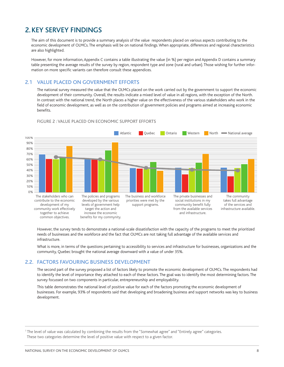# 2.KEY SERVEY FINDINGS

The aim of this document is to provide a summary analysis of the value respondents placed on various aspects contributing to the economic development of OLMCs. The emphasis will be on national findings. When appropriate, differences and regional characteristics are also highlighted.

However, for more information, Appendix C contains a table illustrating the value (in %) per region and Appendix D contains a summary table presenting the average results of the survey by region, respondent type and zone (rural and urban). Those wishing for further information on more specific variants can therefore consult these appendices.

#### 2.1 VALUE PLACED ON GOVERNMENT EFFORTS

The national survey measured the value that the OLMCs placed on the work carried out by the government to support the economic development of their community. Overall, the results indicate a mixed level of value in all regions, with the exception of the North. In contrast with the national trend, the North places a higher value on the effectiveness of the various stakeholders who work in the field of economic development, as well as on the contribution of government policies and programs aimed at increasing economic benefits.



#### FIGURE 2 : VALUE PLACED ON ECONOMIC SUPPORT EFFORTS

However, the survey tends to demonstrate a national-scale dissatisfaction with the capacity of the programs to meet the prioritized needs of businesses and the workforce and the fact that OLMCs are not taking full advantage of the available services and infrastructure.

What is more, in terms of the questions pertaining to accessibility to services and infrastructure for businesses, organizations and the community, Quebec brought the national average downward with a value of under 35%.

#### 2.2. FACTORS FAVOURING BUSINESS DEVELOPMENT

The second part of the survey proposed a list of factors likely to promote the economic development of OLMCs. The respondents had to identify the level of importance they attached to each of these factors. The goal was to identify the most determining factors. The survey focussed on two components in particular, entrepreneurship and employability.

This table demonstrates the national level of positive value for each of the factors promoting the economic development of businesses. For example, 93% of respondents said that developing and broadening business and support networks was key to business development.

1 The level of value was calculated by combining the results from the "Somewhat agree" and "Entirely agree" categories. These two categories determine the level of positive value with respect to a given factor.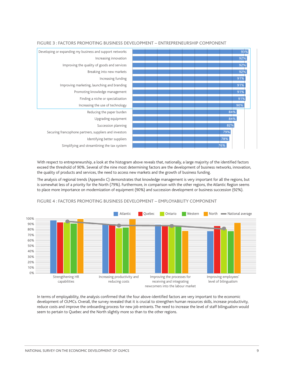

#### FIGURE 3 : FACTORS PROMOTING BUSINESS DEVELOPMENT – ENTREPRENEURSHIP COMPONENT

With respect to entrepreneurship, a look at the histogram above reveals that, nationally, a large majority of the identified factors exceed the threshold of 90%. Several of the nine most determining factors are the development of business networks, innovation, the quality of products and services, the need to access new markets and the growth of business funding.

The analysis of regional trends (Appendix C) demonstrates that knowledge management is very important for all the regions, but is somewhat less of a priority for the North (79%). Furthermore, in comparison with the other regions, the Atlantic Region seems to place more importance on modernization of equipment (90%) and succession development or business succession (92%).





In terms of employability, the analysis confirmed that the four above-identified factors are very important to the economic development of OLMCs. Overall, the survey revealed that it is crucial to strengthen human resources skills, increase productivity, reduce costs and improve the onboarding process for new job entrants. The need to increase the level of staff bilingualism would seem to pertain to Quebec and the North slightly more so than to the other regions.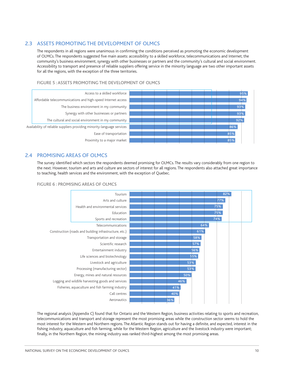#### 2.3 ASSETS PROMOTING THE DEVELOPMENT OF OLMCS

The respondents in all regions were unanimous in confirming the conditions perceived as promoting the economic development of OLMCs. The respondents suggested five main assets: accessibility to a skilled workforce, telecommunications and Internet, the community's business environment, synergy with other businesses or partners and the community's cultural and social environment. Accessibility to transport and presence of reliable suppliers offering service in the minority language are two other important assets for all the regions, with the exception of the three territories.

#### FIGURE 5 : ASSETS PROMOTING THE DEVELOPMENT OF OLMCS



#### 2.4 PROMISING AREAS OF OLMCS

The survey identified which sectors the respondents deemed promising for OLMCs. The results vary considerably from one region to the next. However, tourism and arts and culture are sectors of interest for all regions. The respondents also attached great importance to teaching, health services and the environment, with the exception of Quebec.





The regional analysis (Appendix C) found that for Ontario and the Western Region, business activities relating to sports and recreation, telecommunications and transport and storage represent the most promising areas while the construction sector seems to hold the most interest for the Western and Northern regions. The Atlantic Region stands out for having a definite, and expected, interest in the fishing industry, aquaculture and fish farming, while for the Western Region, agriculture and the livestock industry were important; finally, in the Northern Region, the mining industry was ranked third-highest among the most promising areas.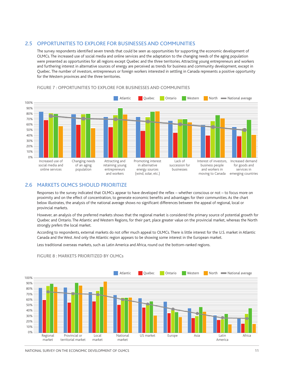#### 2.5 OPPORTUNITIES TO EXPLORE FOR BUSINESSES AND COMMUNITIES

The survey respondents identified seven trends that could be seen as opportunities for supporting the economic development of OLMCs. The increased use of social media and online services and the adaptation to the changing needs of the aging population were presented as opportunities for all regions except Quebec and the three territories. Attracting young entrepreneurs and workers and furthering interest in alternative sources of energy are perceived as trends for business and community development, except in Quebec. The number of investors, entrepreneurs or foreign workers interested in settling in Canada represents a positive opportunity for the Western provinces and the three territories.



#### FIGURE 7 : OPPORTUNITIES TO EXPLORE FOR BUSINESSES AND COMMUNITIES

#### 2.6 MARKETS OLMCS SHOULD PRIORITIZE

Responses to the survey indicated that OLMCs appear to have developed the reflex – whether conscious or not – to focus more on proximity and on the effect of concentration, to generate economic benefits and advantages for their communities. As the chart below illustrates, the analysis of the national average shows no significant differences between the appeal of regional, local or provincial markets.

However, an analysis of the preferred markets shows that the regional market is considered the primary source of potential growth for Quebec and Ontario. The Atlantic and Western Regions, for their part, place greater value on the provincial market, whereas the North strongly prefers the local market.

According to respondents, external markets do not offer much appeal to OLMCs. There is little interest for the U.S. market in Atlantic Canada and the West. And only the Atlantic region appears to be showing some interest in the European market.

Less traditional overseas markets, such as Latin America and Africa, round out the bottom-ranked regions.



#### FIGURE 8 : MARKETS PRIORITIZED BY OLMCs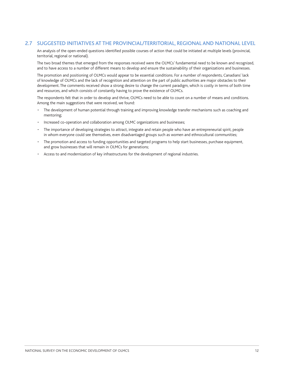#### 2.7 SUGGESTED INITIATIVES AT THE PROVINCIAL/TERRITORIAL, REGIONAL AND NATIONAL LEVEL

An analysis of the open-ended questions identified possible courses of action that could be initiated at multiple levels (provincial, territorial, regional or national).

The two broad themes that emerged from the responses received were the OLMCs' fundamental need to be known and recognized, and to have access to a number of different means to develop and ensure the sustainability of their organizations and businesses.

The promotion and positioning of OLMCs would appear to be essential conditions. For a number of respondents, Canadians' lack of knowledge of OLMCs and the lack of recognition and attention on the part of public authorities are major obstacles to their development. The comments received show a strong desire to change the current paradigm, which is costly in terms of both time and resources, and which consists of constantly having to prove the existence of OLMCs.

The respondents felt that in order to develop and thrive, OLMCs need to be able to count on a number of means and conditions. Among the main suggestions that were received, we found:

- The development of human potential through training and improving knowledge transfer mechanisms such as coaching and mentoring;
- Increased co-operation and collaboration among OLMC organizations and businesses;
- The importance of developing strategies to attract, integrate and retain people who have an entrepreneurial spirit, people in whom everyone could see themselves, even disadvantaged groups such as women and ethnocultural communities;
- The promotion and access to funding opportunities and targeted programs to help start businesses, purchase equipment, and grow businesses that will remain in OLMCs for generations;
- Access to and modernization of key infrastructures for the development of regional industries.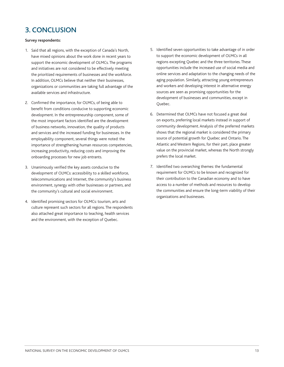# 3. CONCLUSION

#### **Survey respondents:**

- 1. Said that all regions, with the exception of Canada's North, have mixed opinions about the work done in recent years to support the economic development of OLMCs. The programs and initiatives are not considered to be effectively meeting the prioritized requirements of businesses and the workforce. In addition, OLMCs believe that neither their businesses, organizations or communities are taking full advantage of the available services and infrastructure.
- 2. Confirmed the importance, for OLMCs, of being able to benefit from conditions conducive to supporting economic development. In the entrepreneurship component, some of the most important factors identified are the development of business networks, innovation, the quality of products and services and the increased funding for businesses. In the employability component, several things were noted: the importance of strengthening human resources competencies, increasing productivity, reducing costs and improving the onboarding processes for new job entrants.
- 3. Unanimously verified the key assets conducive to the development of OLMCs: accessibility to a skilled workforce, telecommunications and Internet, the community's business environment, synergy with other businesses or partners, and the community's cultural and social environment.
- 4. Identified promising sectors for OLMCs: tourism, arts and culture represent such sectors for all regions. The respondents also attached great importance to teaching, health services and the environment, with the exception of Quebec.
- 5. Identified seven opportunities to take advantage of in order to support the economic development of OLMCs in all regions excepting Quebec and the three territories. These opportunities include the increased use of social media and online services and adaptation to the changing needs of the aging population. Similarly, attracting young entrepreneurs and workers and developing interest in alternative energy sources are seen as promising opportunities for the development of businesses and communities, except in Quebec.
- 6. Determined that OLMCs have not focused a great deal on exports, preferring local markets instead in support of community development. Analysis of the preferred markets shows that the regional market is considered the primary source of potential growth for Quebec and Ontario. The Atlantic and Western Regions, for their part, place greater value on the provincial market, whereas the North strongly prefers the local market.
- 7. Identified two overarching themes: the fundamental requirement for OLMCs to be known and recognized for their contribution to the Canadian economy and to have access to a number of methods and resources to develop the communities and ensure the long-term viability of their organizations and businesses.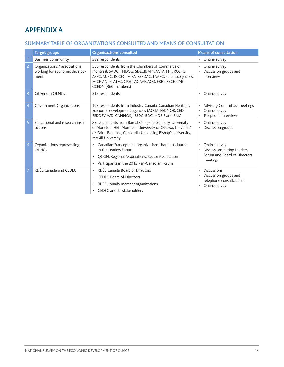# APPENDIX A

#### SUMMARY TABLE OF ORGANIZATIONS CONSULTED AND MEANS OF CONSULTATION

|                | <b>Target groups</b>                                                  | <b>Organisaztions consulted</b>                                                                                                                                                                                                                      | <b>Means of consultation</b>                                                                                      |
|----------------|-----------------------------------------------------------------------|------------------------------------------------------------------------------------------------------------------------------------------------------------------------------------------------------------------------------------------------------|-------------------------------------------------------------------------------------------------------------------|
|                | <b>Business community</b>                                             | 339 respondents                                                                                                                                                                                                                                      | Online survey                                                                                                     |
| $\overline{2}$ | Organizations / associations<br>working for economic develop-<br>ment | 325 respondents from the Chambers of Commerce of<br>Montreal, SADC, TNDGG, SDECB, AFY, ACFA, FFT, RCCFC,<br>AFFC, AUFC, RCCFC, FCFA, RESDAC, FAAFC, Place aux jeunes,<br>FCCF, ANIM, ATFC, CPSC, AGAVF, ACO, FRIC, RECF, CMC,<br>CCEDN (360 members) | Online survey<br>Discussion groups and<br>interviews                                                              |
| 3              | Citizens in OLMCs                                                     | 215 respondents                                                                                                                                                                                                                                      | Online survey                                                                                                     |
| $\overline{4}$ | Government Organizations                                              | 103 respondents from Industry Canada, Canadian Heritage,<br>Economic development agencies (ACOA, FEDNOR, CED,<br>FEDDEV, WD, CANNOR), ESDC, BDC, MDEIE and SAIC                                                                                      | Advisory Committee meetings<br>Online survey<br>Telephone Interviews                                              |
| 5              | Educational and research insti-<br>tutions                            | 82 respondents from Boreal College in Sudbury, University<br>of Moncton, HEC Montreal, University of Ottawa, Université<br>de Saint-Boniface, Concordia University, Bishop's University,<br>McGill University                                        | Online survey<br>$\bullet$<br>Discussion groups                                                                   |
| 6              | Organizations representing<br><b>OLMCs</b>                            | • Canadian Francophone organizations that participated<br>in the Leaders Forum<br>QCGN, Regional Associations, Sector Associations<br>Participants in the 2012 Pan-Canadian Forum                                                                    | Online survey<br>$\bullet$<br>Discussions during Leaders<br>$\bullet$<br>Forum and Board of Directors<br>meetings |
| 7              | RDÉE Canada and CEDEC                                                 | RDÉE Canada Board of Directors<br>$\bullet$<br><b>CEDEC Board of Directors</b><br>$\bullet$<br>RDÉE Canada member organizations<br>CEDEC and its stakeholders                                                                                        | <b>Discussions</b><br>$\bullet$<br>Discussion groups and<br>telephone consultations<br>Online survey<br>$\bullet$ |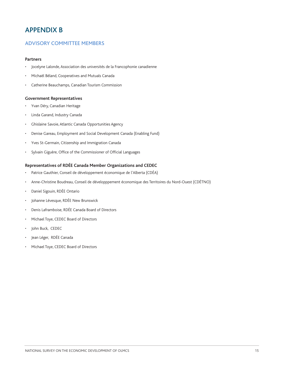## APPENDIX B

#### ADVISORY COMMITTEE MEMBERS

#### **Partners**

- Jocelyne Lalonde, Association des universités de la Francophonie canadienne
- Michaël Béland, Cooperatives and Mutuals Canada
- Catherine Beauchamps, Canadian Tourism Commission

#### **Government Representatives**

- Yvan Déry, Canadian Heritage
- Linda Garand, Industry Canada
- Ghislaine Savoie, Atlantic Canada Opportunities Agency
- Denise Gareau, Employment and Social Development Canada (Enabling Fund)
- Yves St-Germain, Citizenship and Immigration Canada
- Sylvain Giguère, Office of the Commissioner of Official Languages

#### **Representatives of RDÉE Canada Member Organizations and CEDEC**

- Patrice Gauthier, Conseil de développement économique de l'Alberta (CDÉA)
- Anne-Christine Boudreau, Conseil de développpement économique des Territoires du Nord-Ouest (CDÉTNO)
- Daniel Sigouin, RDÉE Ontario
- Johanne Lévesque, RDÉE New Brunswick
- Denis Laframboise, RDÉE Canada Board of Directors
- Michael Toye, CEDEC Board of Directors
- John Buck, CEDEC
- Jean Léger, RDÉE Canada
- Michael Toye, CEDEC Board of Directors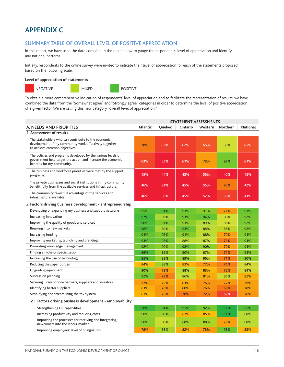# APPENDIX C

#### SUMMARY TABLE OF OVERALL LEVEL OF POSITIVE APPRECIATION

In this report, we have used the data compiled in the table below to gauge the respondents' level of appreciation and identify any national patterns.

Initially, respondents to the online survey were invited to indicate their level of appreciation for each of the statements proposed based on the following scale:

#### **Level of appreciation of statements**



To obtain a more comprehensive indication of respondents' level of appreciation and to facilitate the representation of results, we have combined the data from the "Somewhat agree" and "Strongly agree" categories in order to determine the level of positive appreciation of a given factor. We are calling this new category "overall level of appreciation."

|                                                                                                                                                           |          |               | <b>STATEMENT ASSESSMENTS</b> |         |          |                 |
|-----------------------------------------------------------------------------------------------------------------------------------------------------------|----------|---------------|------------------------------|---------|----------|-----------------|
| A. NEEDS AND PRIORITIES                                                                                                                                   | Atlantic | <b>Ouebec</b> | Ontario                      | Western | Northern | <b>National</b> |
| 1. Assessment of results                                                                                                                                  |          |               |                              |         |          |                 |
| The stakeholders who can contribute to the economic<br>development of my community work effectively together<br>to achieve common objectives.             | 70%      | 62%           | 62%                          | 66%     | 86%      | 65%             |
| The policies and programs developed by the various levels of<br>government help target the action and increase the economic<br>benefits for my community. | 63%      | 53%           | 61%                          | 78%     | 92%      | 61%             |
| The business and workforce priorities were met by the support<br>programs.                                                                                | 45%      | 44%           | 43%                          | 56%     | 40%      | 45%             |
| The private businesses and social institutions in my community<br>benefit fully from the available services and infrastructure.                           | 46%      | 34%           | 45%                          | 55%     | 70%      | 42%             |
| The community takes full advantage of the services and<br>infrastructure available.                                                                       | 46%      | 30%           | 45%                          | 52%     | 62%      | 41%             |
| 2. Factors driving business development - entrepreneurship                                                                                                |          |               |                              |         |          |                 |
| Developing or expanding my business and support networks                                                                                                  | 95%      | 94%           | 93%                          | 91%     | 77%      | 93%             |
| Increasing innovation                                                                                                                                     | 97%      | 89%           | 93%                          | 94%     | 86%      | 92%             |
| Improving the quality of goods and services                                                                                                               | 96%      | 91%           | 91%                          | 89%     | 86%      | 92%             |
| Breaking into new markets                                                                                                                                 | 96%      | 89%           | 93%                          | 88%     | 85%      | 92%             |
| Increasing funding                                                                                                                                        | 94%      | 92%           | 91%                          | 88%     | 79%      | 91%             |
| Improving marketing, launching and branding                                                                                                               | 94%      | 93%           | 88%                          | 87%     | 71%      | 91%             |
| Promoting knowledge management                                                                                                                            | 92%      | 90%           | 92%                          | 90%     | 79%      | 91%             |
| Finding a niche or specialization                                                                                                                         | 96%      | 89%           | 90%                          | 87%     | 71%      | 91%             |
| Increasing the use of technology                                                                                                                          | 95%      | 89%           | 89%                          | 86%     | 71%      | 90%             |
| Reducing the paper burden                                                                                                                                 | 84%      | 88%           | 83%                          | 77%     | 71%      | 84%             |
| Upgrading equipment                                                                                                                                       | 90%      | 79%           | 88%                          | 83%     | 75%      | 84%             |
| Succession planning                                                                                                                                       | 92%      | 72%           | 86%                          | 81%     | 85%      | 82%             |
| Securing Francophone partners, suppliers and investors                                                                                                    | 77%      | 79%           | 81%                          | 76%     | 77%      | 79%             |
| Identifying better suppliers                                                                                                                              | 81%      | 76%           | 80%                          | 76%     | 69%      | 78%             |
| Simplifying and streamlining the tax system                                                                                                               | 83%      | 76%           | 70%                          | 72%     | 62%      | 76%             |
| 2.1 Factors driving business development - employability                                                                                                  |          |               |                              |         |          |                 |
| Strengthening HR capabilities                                                                                                                             | 98%      | 94%           | 95%                          | 92%     | 100%     | 95%             |
| Increasing productivity and reducing costs                                                                                                                | 90%      | 89%           | 83%                          | 85%     | 100%     | 88%             |
| Improving the processes for receiving and integrating<br>newcomers into the labour market                                                                 | 90%      | 86%           | 88%                          | 88%     | 79%      | 88%             |
| Improving employees' level of bilingualism                                                                                                                | 78%      | 88%           | 82%                          | 78%     | 93%      | 83%             |

STATEMENT ASSESSMENT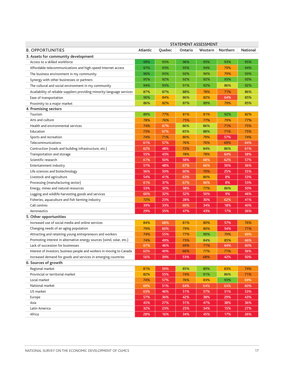|                                                                         |          |        |         | STATEMENT ASSESSMENT |                 |                 |
|-------------------------------------------------------------------------|----------|--------|---------|----------------------|-----------------|-----------------|
| <b>B. OPPORTUNITIES</b>                                                 | Atlantic | Quebec | Ontario | Western              | <b>Northern</b> | <b>National</b> |
| 3. Assets for community development                                     |          |        |         |                      |                 |                 |
| Access to a skilled workforce                                           | 99%      | 93%    | 96%     | 95%                  | 93%             | 95%             |
| Affordable telecommunications and high-speed Internet access            | 97%      | 93%    | 95%     | 94%                  | 79%             | 94%             |
| The business environment in my community                                | 96%      | 93%    | 92%     | 90%                  | 79%             | 93%             |
| Synergy with other businesses or partners                               | 95%      | 92%    | 92%     | 92%                  | 93%             | 93%             |
| The cultural and social environment in my community                     | 94%      | 93%    | 91%     | 92%                  | 86%             | 92%             |
| Availability of reliable suppliers providing minority-language services | 87%      | 87%    | 88%     | 78%                  | 71%             | 86%             |
| Ease of transportation                                                  | 90%      | 84%    | 86%     | 82%                  | 64%             | 85%             |
| Proximity to a major market                                             | 86%      | 82%    | 87%     | 89%                  | 79%             | 85%             |
| 4. Promising sectors                                                    |          |        |         |                      |                 |                 |
| Tourism                                                                 | 89%      | 77%    | 81%     | 81%                  | 92%             | 82%             |
| Arts and culture                                                        | 78%      | 76%    | 75%     | 77%                  | 79%             | 77%             |
| Health and environmental services                                       | 74%      | 67%    | 86%     | 86%                  | 71%             | 75%             |
| Education                                                               | 73%      | 67%    | 85%     | 88%                  | 71%             | 75%             |
| Sports and recreation                                                   | 74%      | 71%    | 80%     | 79%                  | 57%             | 74%             |
| Telecommunications                                                      | 61%      | 57%    | 76%     | 76%                  | 69%             | 64%             |
| Contruction (roads and building infrastructure, etc.)                   | 62%      | 48%    | 72%     | 84%                  | 86%             | 61%             |
| Transportation and storage                                              | 55%      | 43%    | 78%     | 78%                  | 64%             | 58%             |
| Scientific research                                                     | 61%      | 50%    | 58%     | 68%                  | 62%             | 57%             |
| Entertainment industry                                                  | 57%      | 48%    | 67%     | 66%                  | 50%             | 56%             |
| Life sciences and biotechnology                                         | 56%      | 50%    | 60%     | 70%                  | 25%             | 55%             |
| Livestock and agriculture                                               | 54%      | 41%    | 63%     | 80%                  | 8%              | 53%             |
| Processing (manufacturing sector)                                       | 61%      | 37%    | 67%     | 66%                  | 8%              | 53%             |
| Energy, mines and natural resources                                     | 53%      | 32%    | 58%     | 77%                  | 86%             | 50%             |
| Logging and wildlife harvesting goods and services                      | 60%      | 32%    | 52%     | 50%                  | 9%              | 46%             |
| Fisheries, aquaculture and fish farming industry                        | 72%      | 23%    | 28%     | 30%                  | 62%             | 41%             |
| Call centres                                                            | 39%      | 33%    | 60%     | 34%                  | 18%             | 40%             |
| Aeronautics                                                             | 29%      | 35%    | 47%     | 43%                  | 17%             | 36%             |
| 5. Other opportunities                                                  |          |        |         |                      |                 |                 |
| Increased use of social media and online services                       | 84%      | 68%    | 81%     | 80%                  | 57%             | 76%             |
| Changing needs of an aging population                                   | 79%      | 60%    | 79%     | 80%                  | 54%             | 71%             |
| Attracting and retaining young entrepreneurs and workers                | 74%      | 55%    | 77%     | 90%                  | 79%             | 69%             |
| Promoting interest in alternative energy sources (wind, solar, etc.)    | 74%      | 49%    | 73%     | 84%                  | 85%             | 66%             |
| Lack of succession for businesses                                       | 67%      | 46%    | 69%     | 71%                  | 64%             | 60%             |
| Interest of investors, business people and workers in moving to Canada  | 60%      | 40%    | 66%     | 77%                  | 71%             | 56%             |
| Increased demand for goods and services in emerging countries           | 56%      | 39%    | 53%     | 68%                  | 42%             | 50%             |
| 6. Sources of growth                                                    |          |        |         |                      |                 |                 |
| Regional market                                                         | 81%      | 59%    | 85%     | 89%                  | 83%             | 74%             |
| Provincial or territorial market                                        | 82%      | 55%    | 74%     | 91%                  | 86%             | 71%             |
| Local market                                                            | 74%      | 57%    | 76%     | 83%                  | 93%             | 69%             |
| National market                                                         | 69%      | 51%    | 64%     | 64%                  | 64%             | 60%             |
| US market                                                               | 63%      | 46%    | 51%     | 57%                  | 31%             | 53%             |
| Europe                                                                  | 57%      | 36%    | 42%     | 38%                  | 29%             | 43%             |
| Asia                                                                    | 45%      | 27%    | 31%     | 47%                  | 38%             | 36%             |
| Latin America                                                           | 32%      | 23%    | 25%     | 34%                  | 15%             | 27%             |
| Africa                                                                  | 28%      | 16%    | 34%     | 45%                  | 17%             | 26%             |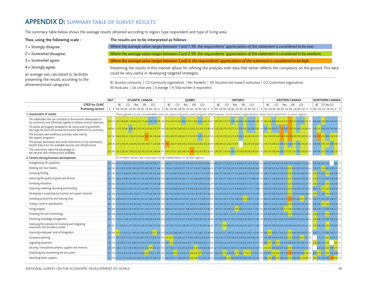### APPENDIX D: SUMMARY TABLE OF SURVEY RESULTS

aforementioned categories.

The summary table below shows the average results obtained according to region, type respondent and type of living area.

| Thus, using the following scale:        | The results are to be interpreted as follows :                                                                                                                                                                                 |
|-----------------------------------------|--------------------------------------------------------------------------------------------------------------------------------------------------------------------------------------------------------------------------------|
| $1 =$ Strongly disagree;                | Where the average value ranges between 1 and 1.99, the respondents' appreciation of the statement is considered to be low;                                                                                                     |
| $2 =$ Somewhat dissagree;               | Where the average value ranges between 2 and 2.99, the respondents' appreciation of the statement is considered to be medium;                                                                                                  |
| $3 =$ Somewhat agree;                   | Where the average value ranges between 3 and 4, the respondents' appreciation of the statement is considered to be high.                                                                                                       |
| $4 =$ Strongly agree.                   | Presenting the results in this manner allows for refining the analyses with data that better reflects the complexity on the ground. This data                                                                                  |
| an average was calculated to facilitate | could be very useful in developing targeted strategies.                                                                                                                                                                        |
| presenting the results according to the | popular in loop is the longituding the transformation of the state of the state of the state of the state of the state of the state of the state of the state of the state of the state of the state of the state of the state |

BC: Business community | CO: Community organizations | Res: Residents | ERI: Education and research institutions | GO: Government organizations RA: Rural area | UA: Urban area | A: Average | R: Total number of respondents

|                   | NAT. |     |     | <b>ATLANTIC CANADA</b> |            |    |       | <b>OUEBEC</b> |      |    |    | <b>ONTARIO</b> |       |     |  |           | <b>WESTERN CANADA</b> |     |    |  | <b>NORTHERN CANADA</b>                                                                                                                                                                                                        |  |
|-------------------|------|-----|-----|------------------------|------------|----|-------|---------------|------|----|----|----------------|-------|-----|--|-----------|-----------------------|-----|----|--|-------------------------------------------------------------------------------------------------------------------------------------------------------------------------------------------------------------------------------|--|
| CPED for OLMC     |      | BC. | CO. | Res                    | $ERI$ $GO$ | BC | CORes |               | - GO | RC | ്റ | Res            | FRI I | GO. |  | $BC$ $CO$ | Res                   | ERI | GO |  | CO Res GO                                                                                                                                                                                                                     |  |
| Promising sectors |      |     |     |                        |            |    |       |               |      |    |    |                |       |     |  |           |                       |     |    |  | ∖IUAIRAIUAIRAIUAIRAIUAIRAIUAIA IRIRAIUAIRAIUAIRAIUAIRAIUAIRAIUAIA IRIRAIUAIRAIUAIRAIUAIRAIUAIRAIUAIA IRIRAIUAIRAIUAIRAIUAIRAIUAIRAIUAIRAIUAIRAIUAI AIRIRAIUAIDAIUAIDAIUAI AIRIRAIUAIRAIUAIRAIUAIRAIUAI AIRIRAIUAIDAIUAIDAI AI |  |

| 1. Assessment of results                                                                                                                               | There appears to be considerable room for improving policy and program effectiveness. Government organizations seem more optimistic in most regions.                                                                                                                                                                      |
|--------------------------------------------------------------------------------------------------------------------------------------------------------|---------------------------------------------------------------------------------------------------------------------------------------------------------------------------------------------------------------------------------------------------------------------------------------------------------------------------|
| The stakeholders who can contribute to the economic development of<br>my community work effectively together to achieve common objectives.             | 2.76 612 2.95 2.56 2.88<br>2.79260 2.33 2.73 2.83 3.19 3.00 2.85 168 2.74 2.78 2.79 2.62 3.00 2.19 2.71 2.82 3.33 2.44 2.74 247 2.90 2.35 2.72 2.73 3.25 2.46 3.50 2.86 3.50 2.30 3.00 3.00 2.68 118 2.60 2.46 3.00 2.68 118 2.60 2.46 3.00 2.96 12.50 2.7<br>1.50 2.33 3.00 3.00 2.74 65 4.00 3.00 2.83 3.50 3.00 3.07 1 |
| The policies and programs developed by the various levels of government<br>help target the action and increase the economic benefits for my community. | 64 600 2.79 2.78 2.68 3.002.80 2.33 2.43 2.33 2.69 2.57 2.70 166 2.36 2.48 2.65 2.48 2.62 2.12 2.43 2.70 2.78 2.75 2.48 238 2.65 2.58 2.79 2.79 2.79 2.79 2.79 2.79 2.01 2.60 3.00 3.00 3.00 3.00 3.00 3.15 1.50 3.00 13<br>1.50 2.50 3.00 2.50 2.89 64 4.00 2.33 3.00 3.50 3.00 3.00 13                                  |
| The business and workforce priorities were met by<br>the support programs.                                                                             | 2.43 562 2.46 2.33 2.34 2.552.67 2.33 2.62 1.83 2.93 2.50 2.46 156 2.05 2.40 2.55 2.48 2.65 2.13 2.20 2.73 3.00 2.31 2.43 2.05 2.41 223 2.45 2.33 2.75 2.30 3.00 2.62 8.20 3.0 3.02 4.41 11 2.60 2.54 2.80 2.8 2.44 111 2.60 2.                                                                                           |
| The private businesses and social institutions in my community<br>benefit fully from the available services and infrastructure.                        | 239576 237233 239 245250 233254 240 271 229248 158 138228 231 206 248 2.19 283 254 288 200 224 234 238 240 222 53 2.75 2.70 - 200 250 250 250 240 112 240 273 280 255 300 233 300 233 300 233 300 239 300 250 261 62 800 400 28                                                                                           |
| The community takes full advantage of<br>the services and infrastructure available.                                                                    |                                                                                                                                                                                                                                                                                                                           |
| 2. Factors driving business development                                                                                                                | All of these factors are important for all stakeholders, in all the regions.                                                                                                                                                                                                                                              |
| Strengthening HR capabilities                                                                                                                          | 366 5787 379 368 362 360 333 387 388 367 389 391 367 378 369 371 367 388 368 378 369 378 400 345 389 378 400 345 389 350 364 243 383 367 372 365 325 388 400 333 340 329 361 122 340 327 360 338 350 400 300 300 300 300 300 30                                                                                           |
| Breaking into new markets                                                                                                                              | 3.56 593 3.53 3.53 3.70 3.62 3.80 3.67 3.79 3.83 3.80 3.75 3.66<br>164 358 361 349 328 357 378 371 326 357 386 354 235 377 367 353 350 325 331 400 340 400 360 117 300 338 320 342 350 320 342 350 30 267 400 300 333 334 64 300 378 283 400 400 338                                                                      |
| Increasing funding                                                                                                                                     | 3,55 595 3,53 3,41 3,68 3,92 3,60 3,67 3,60 3,67 3,69 3,50 3,62 162 3,41 3,45 3,85 3,56 3,65 3,56 3,55 3,56 3,57 3,30 3,71 3,14 3,55 236 13,59 3,57 3,56 3,60 3,60 3,60 3,60 3,75 3,54 4,00 3,40 3,75 3,54 3,67 3,58 118 3,60 3<br>00 3.75 3.50 2.50 4.00 3.36 14                                                         |
| Improving the quality of goods and services                                                                                                            |                                                                                                                                                                                                                                                                                                                           |
| Increasing innovation                                                                                                                                  | 163 329 342 359 332 352 357 367 357 320 378 363 345 239 361 369 342 350 350 350 360 320 375 371 355 123 360 331 320 350 320 350 375 267 400 375 347 64 200 375 367 250 400 343 14<br>3.54 603 3.54 3.78 3.75 3.50 3.90 3.67 3.93 4.00 3.47 3.50 3.68                                                                      |
| Improving marketing, launching and branding                                                                                                            |                                                                                                                                                                                                                                                                                                                           |
| Developing or expanding my business and support networks                                                                                               | 352 354 348 348 348 348 368 367 370 367 377 340 340 368 350 161 1365 364 340 361 352 393 350 326 350 336 350 338 350 323 4 376 359 338 373 37 32 340 351 323 400 313 367 343 360 373 360 378 360 378 360 375 300 375 320 400 3.                                                                                           |
| Increasing productivity and reducing costs                                                                                                             | 3.44 583 3.58 3.44 3.55 3.50 3.40 3.67 3.93 3.67 3.38 3.29 3.54 164 3.48 3.46 3.48 3.44 3.55 3.61 3.50 3.27 3.75 3.00 3.47 233 3.42 3.5 3.42 3.15 3.25 3.00 3.50 3.76 3.50 3.71 3.32 113 3.60 3.25 3.26 3.39 3.50 3.75<br>67 4.00 3.00 2.67 3.27 59 3.00 3.75 3.67 3.50 3.00 3.57 14                                      |
| Finding a niche or specialization                                                                                                                      | 3.44 595 3.53 3.56 3.54 3.46 3.30 3.00 3.77 4.00 3.53 3.8 3.53 3.63 3.8 3.93 3.46 3.33 3.54 3.32 3.61 3.47 3.29 3.45 3.38 3.85 3.45 3.38 3.45 3.38 3.45 3.38 3.45 3.38 3.45 3.38 3.45 3.38 3.45 3.48 3.38 3.45 241 3.57 3.54 3.                                                                                           |
| Hiring program                                                                                                                                         | 8.42\508\3.33\3.44\3.35\3.42\3.40\3.67\3.47\3.50\3.31\3.14\3.37\166\3.68\3.41\3.55\3.59\3.57\3.88\3.60\3.20\3.21\3.55\3.54\3.56\47\3.29\3.52\3.33\3.40\3.25\3.48\40\3.00\3.71\3.32\120\3.80\3.21\3.60\3.23\3.60\3.22\3.00\3.73\                                                                                           |
| Increasing the use of technology                                                                                                                       | 3.42 598 3.56 367 3.46 362 390 333 367 367 367 369 350 359 365 341 344 349 330 330 350 371 336 375 329 343 37 352 343 326 313 328 343 328 343 368 37 352 343 360 371 336 371 336 371 338 371 338 360 321 339 350 321 350 328 37                                                                                           |
| Promoting knowledge management                                                                                                                         | 3.42 597 320 351 348 329 350 333 358 338 356 338 344 165 334 337 333 332 341 353 367 303 338 350 338 350 338 350 37 363 328 350 328 367 363 328 367 363 328 367 363 328 367 363 328 367 363 328 367 363 328 367 363 360 350 388                                                                                           |
| Improving the processes for receiving and integrating<br>newcomers into the labour market                                                              | 3.41 601 3.11 3.29 3.55 3.57 3.70 3.67 3.46 3.67 3.46 3.77 3.49 163 3.77 3.48 3.17 3.47 3.37 3.88 3.56 3.57 3.27 3.78 4.00 3.42 243 13.57 3.78 3.78 3.48 3.67 3.71 2.94 3.80 3.00 3.38 400 3.9 3.00 3.23 3.400 3.71 3.39 117 3.                                                                                           |
| Improving employees' level of bilingualism                                                                                                             | 335609 295 3.16 3.32 3.21 3.20 3.67 3.67 3.67 3.20 3.13 2.57 3.20 167 3.45 3.25 3.68 3.48 3.57 3.35 3.71 3.55 3.66 3.47 3.26 3.49 3.57 3.35 3.71 3.55 3.86 3.4 3.32 3.56 3.7 3.49 244 3.32 3.50 3.21 3.36 3.25 3.38 4.00 3.25 3                                                                                           |
| Succession planning                                                                                                                                    | 3.30 572 3.31 3.38 3.75 3.54 3.70 3.00 3.87 3.50 3.73 3.50 3.73 3.50 3.73 162 264 261 3.35 3.28 3.20 3.19 3.83 3.36 3.22 3.00 3.04 216 3.52 3.29 3.37 3.52 3.91 3.81 4.00 3.23 3.50 3.60 3.50 3.60 3.50 3.86 3.45 117 3.20 3.08<br>3.75 3.17 2.00 3.00 3.15 13                                                            |
| Upgrading equipment                                                                                                                                    | 323 574 332 306 327 325 380 367 343 375 327 363 37 363 34 162 308 293 329 329 320 326 328 371 300 356 300 317 226 347 326 332 333 339 339 339 339 300 340 300 343 331 114 300 291 340 292 350 400 300 400 400 300 302 12 60<br>00 3.00 3.00 2.50<br>$2.83$ 12                                                             |
| Securing Francophone partners, suppliers and investors                                                                                                 | 323 585 306 3.11 3.27 3.36 3.40 3.00 3.43 3.33 2.94 3.50 3.21 164 3.27 3.05 3.11 3.52 3.45 3.33 3.43 2.90 3.44 3.80 3.26 233 3.21 3.57 3.06 3.07 3.00 3.31 3.50 3.50 3.50 3.33 3.29 112 2.40 2.82 3.40 3.28 3.50 3.00 4.00 3.00<br>3.00 3.00 2.00 4.00 2.92 13                                                            |
| Simplifying and streamlining the tax system                                                                                                            | 3.14 579 3.15 3.16 3.20 3.30 3.30 3.33 3.46 <mark>2.83</mark> 3.14 3.17 3.20 160 3.25 3.20 <mark>2.95</mark> 3.22 3.36 3.72 2.80 2.89 3.57 3.20 2.40 3.06 3.30 2.78 3.25 3.00 2.75 4.00 2.75 2.25 3.14 3.01 106 3.40 3.33 2.60 2.83 4.00 3.00<br>1.67 4.00 3.00 3.00 2.98 60 4.00 2.75 3.17 2.00 4.00 3.08 13             |
| Identifying better suppliers                                                                                                                           |                                                                                                                                                                                                                                                                                                                           |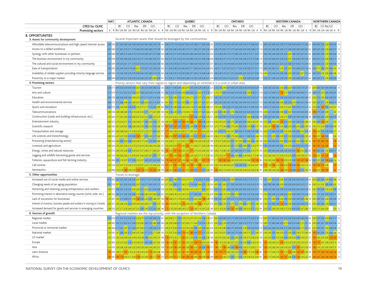|                          | NAT. |                         |  | <b>ATLANTIC CANADA</b> |  |                | <b>OUEBEC</b> |  |  |  | <b>ONTARIO</b> |                                                                                                                                                                                                                                |  |                | <b>WESTERN CANADA</b> |  |  |           | NORTHERN CANADA |  |
|--------------------------|------|-------------------------|--|------------------------|--|----------------|---------------|--|--|--|----------------|--------------------------------------------------------------------------------------------------------------------------------------------------------------------------------------------------------------------------------|--|----------------|-----------------------|--|--|-----------|-----------------|--|
| <b>CPED for OLMC</b>     |      | $\cdot$ BC CO Res ERICO |  |                        |  | BC CORes ERIGO |               |  |  |  |                | BC CO Res ERI GO                                                                                                                                                                                                               |  | BC CORes ERICO |                       |  |  | CO Res GO |                 |  |
| <b>Promising sectors</b> |      |                         |  |                        |  |                |               |  |  |  |                | IRIRA UAIRA UAIRA UAIRA UAIRA UAIRIRA UAIRA UAIRA UAIRA UAIRA UAIRA UAIRA UAIRA UAIRA UAIRA UAIRA UAIRA UAIRA UAIRA UAIRA UAIRA UAIRA UAIRA UAIRA UAIRA IUAIRA UAIRA UAIRA IUAIRA UAIRA UAIRA UAIRA UAIRA UAIRA UAIRA UAIRA UA |  |                |                       |  |  |           |                 |  |

#### **B. OPPORTUNITIES**

Several important assets that should be leveraged by the communities.

| 3. Assets for community development                                     | Several important assets that should be leveraged by the communities.                                                                                                                                                                                                                                                                |
|-------------------------------------------------------------------------|--------------------------------------------------------------------------------------------------------------------------------------------------------------------------------------------------------------------------------------------------------------------------------------------------------------------------------------|
| Affordable telecommunications and high-speed Internet access            |                                                                                                                                                                                                                                                                                                                                      |
| Access to a skilled workforce                                           | 867 89 371 378 378 371 370 400 389 400 380 375 378 162 344 365 366 345 336 375 371 382 357 356 356 234 385 378 366 375 378 368 400 350 400 386 375 314 380 38375 306 388 300 375 300 400 400 400 400 365 65 400 350 383 250 400                                                                                                      |
| Synergy with other businesses or partners                               | 3.54 588 3.47 5.69 3.73 3.64 3.70 3.39 3.43 3.43 3.43 3.47 3.57 3.60 164 3.46 3.55 3.51 3.45 3.46 3.63 3.89 3.64 3.43 3.63 3.52 333 372 338 329 3.72 3.38 3.29 3.72 3.38 3.29 3.72 3.38 3.29 3.73 3.75 3.80 3.50 3.01 3.57 13.5                                                                                                      |
| The business environment in my community                                | 553 599 3.47 3.65 3.66 3.64 3.50 3.33 3.57 3.60 3.60 3.57 166 3.63 3.57 3.61 3.42 3.54 3.56 3.86 3.45 3.57 3.60 3.58 3.45 3.57 3.60 3.88 3.45 3.57 3.60 3.68 3.85 3.89 3.68 3.45 3.57 3.60 3.68 3.95 3.88 3.49 3.63 3.63 3.63 4                                                                                                      |
| The cultural and social environment in my community                     | 352 599 334 335 361 371 370 333 343 333 353 353 350 166 350 345 359 367 379 327 386 364 343 367 357 237 365 332 318 344 400 333 400 340 375 357 344 117 380 338 400 352 350 352 350 357 360 367 450 375 354 65 300 400 332 350                                                                                                       |
| Ease of transportation                                                  |                                                                                                                                                                                                                                                                                                                                      |
| Availability of reliable suppliers providing minority-language services | 334 529 3.13 324 3.38 3.29 3.70 3.00 3.64 3.50 3.60 3.14 3.35 164 3.42 3.36 3.35 3.19 3.50 3.80 3.57 3.64 3.14 3.38 3.40 233 3.60 3.64 3.64 3.89 3.60 3.60 3.28 3.60 3.60 3.25 3.39 4.00 3.39 3.40 3.00 3.28 3.40 3.00 3.28 3.4                                                                                                      |
| Proximity to a major market                                             | 325 584 327 320 337 350 340 333 336 320 307 286 329 161 317 339 317 303 304 338 314 350 329 338 321 234 355 323 324 314 359 327 250 320 30 309 308 321 234 341 350 321 30 30 30 329 311 320 331 340 333 304 305 30 300 350 350                                                                                                       |
| 4. Promising sectors                                                    | Priority sectors that vary from region to region and depending on whether it is a rural or urban area.                                                                                                                                                                                                                               |
| Tourism                                                                 | 336 577 349 350 329 339 349 267 350 267 350 339 344 36 352 162 328 311 349 344 262 287 343 348 329 338 325 225 310 318 254 354 400 345 300 340 340 389 329 331 40 340 3529 310 340 389 329 331 30 340 389 329 331 310 340 389 3                                                                                                      |
| Arts and culture                                                        | 3.13 574 3.11 3.12 3.25 3.57 3.30 267 300 3.33 3.29 3.14 3.20 161 3.02 3.18 3.13 3.44 2.59 3.00 3.00 3.25 2.43 3.75 3.10 221 2.70 2.75 3.00 3.53 4.00 3.55 4.00 3.39 2.80 3.01 3.03 3.13 1114 3.20 3.15 3.00 3.11 3.27 3.00 3.0                                                                                                      |
| Education                                                               | 309 578 308 300 300 300 300 329 233 307 317 325 314 304 160 257 310 290 315 267 294 271 321 271 313 290 227 300 350 319 357 325 345 400 360 325 319 357 329 30 31 310 300 329 380 342 350 300 300 360 367 400 300 390 57 200 37                                                                                                      |
| Health and environmental services                                       | 3.09 575 3.11 3.06 2.98 3.23 2.80 2.87 3.29 2.83 3.23 3.14 3.07 161 2.81 3.03 2.73 3.25 2.52 3.06 2.57 3.26 2.71 3.25 2.91 224 3.05 3.30 3.00 3.50 3.82 3.50 3.40 3.23 3.43 3.31 112 3.40 3.83 3.60 3.48 2.00 3.03 3.9 2.50 4.0                                                                                                      |
| Sports and recreation                                                   | 304 572 316 234 289 300 330 233 277 217 315 343 299 160 307 315 288 334 264 263 214 311 286 350 300 227 235 236 300 338 375 382 300 340 375 300 320 300 320 300 320 300 315 340 325 200 275 260 300 325 360 200 257 340 325 200                                                                                                      |
| Telecommunications                                                      | 284558 289 288 280 3.15 2.70 2.00 2.54 3.17 2.77 2.67 2.83 160 2.02 3.16 2.43 3.10 2.14 2.93 2.14 3.10 2.71 3.25 2.64 218 2.63 3.41 2.63 3.43 2.68 3.31 2.75 3.86 4.00 3.03 2.8 4.00 3.20 3.25 4.00 3.18 105 2.60 3.03 0.80 3.0                                                                                                      |
| Construction (roads and building infrastructure, etc.)                  | 2.78 564 2.71 2.81 2.63 3.23 2.80 2.67 2.54 2.33 3.00 2.67 2.75 157 2.24 2.54 2.43 2.73 2.09 2.65 1.57 3.00 2.9 3.25 2.45 2.21 2.80 3.00 3.00 3.03 3.33 3.36 3.00 3.0 3.00 2.80 3.00 3.00 3.00 3.60 3.62 2.50 2.75 3.00 3.62 2.                                                                                                      |
| Entertainment industry                                                  | 265 557 273 253 271 331 256 200 217 300 254 343 271 158 200 297 139 319 130 286 186 257 186 338 244 214 242 255 253 338 275 345 400 300 260 240 287 108 225 308 260 282 508 30 282 33 367 30 300 288 65 200 350 160 200 - 233 1                                                                                                      |
| Scientific research                                                     | 263 542 261 229 261 338 280 200 250 300 242 314 266 157 167 303 137 332 172 313 229 338 157 338 247 205 221 2.77 2.44 300 2.75 290 300 344 250 300 273 290 30 272 105 260 291 180 304 250 300 233 400 200 325 285 62 200 2.75 2                                                                                                      |
| Transportation and storage                                              |                                                                                                                                                                                                                                                                                                                                      |
| Life sciences and biotechnology                                         | 58 229 247 247 250 323 300 167 217 333 269 3.17 262 151 1.65 294 1.97 328 1.84 300 229 325 1.71 3.50 2.44 203 2.06 257 250 300 2.75 280 300 311 3.00 3.02 20 500 2.05 05 0 2.09 3.13 220 308 200 329 3.21 220 3.08 200 3.50 3.0<br>$2.00$ 12                                                                                         |
| Processing (manufacturing sector)                                       | 50 534 2.94 3.00 2.69 3.08 2.60 2.00 2.77 2.40 3.15 3.00 2.84 154 202 2.60 2.11 2.22 2.05 2.15 1.86 2.56 2.00 2.38 2.20 198 2.70 2.91 2.69 2.83 3.25 2.91 2.50 3.00 2.83 108 2.50 3.00 2.83 108 2.40 3.00 2.83 108 2.50 3.00 2.<br>$1.58$ 12                                                                                         |
| Livestock and agriculture                                               | 56 524 2.76 2.81 2.54 2.55 2.70 2.33 2.54 2.50 2.80 2.43 2.64 157 2.50 2.00 2.63 1.71 2.26 1.83 2.71 2.00 2.71 2.00 2.71 2.00 2.81 189 2.95 2.40 2.94 2.42 3.25 2.0 4.00 2.89 3.80 2.80 2.35 2.74 105 3.50 3.50 3.50 2.50 2.83<br>$1.25$ 12                                                                                          |
| Energy, mines and natural resources                                     | 50 515 264 253 256 325 240 267 2.57 2.83 2.71 2.86 2.61 156 1.92 2.04 1.97 1.59 2.33 2.00 1.71 2.75 2.43 2.60 2.03 182 2.60 2.74 2.80 2.03 3.3 3.00 4.00 3.11 320 2.33 2.74 103 2.00 3.09 4.00 3.48 3.00 3.25 3.33 4.00 1.00 2.<br>00 4.00 4.00 2.50 4.00 3.57 14                                                                    |
| Logging and wildlife harvesting goods and services                      | 2.41 510 2.94 2.82 2.83 2.73 2.90 2.67 2.46 2.62 3.73 3.00 2.77 154 2.29 1.93 2.08 1.54 2.05 1.92 2.29 2.00 2.71 2.75 2.06 182 2.75 2.35 2.47 1.75 3.50 2.90 402 44 2.60 2.17 2.48 103 2.25 2.82 2.40 2.72 2.89 2.90 2.75 2.32                                                                                                       |
| Fisheries, aquaculture and fish farming industry                        | 223 496 320 2.76 297 3.17 3.00 233 257 3.00 3.47 3.29 3.03 156 1.78 1.46 1.97 1.27 2.24 1.62 2.00 1.50 2.71 1.67 1.79 177 2.17 1.63 1.60 1.42 2.00 2.00 2.00 2.00 2.00 2.00 2.03 1.8 96 2.33 2.00 2.60 1.68 1.50 2.50 2.33 3.00                                                                                                      |
| Call centres                                                            | 223 534 232 241 2.16 2.46 2.10 2.33 207 225 2.14 200 224 153 1.61 2.57 1.92 2.50 1.95 2.36 1.29 2.10 1.86 225 207 200 2.00 2.78 2.83 267 338 308 300 320 2.40 2.83 2.67 108 1.75 2.58 1.40 2.12 1.00 225 1.33 400 1.00 2.50 1.0                                                                                                      |
| Aeronautics                                                             | 2.13 486 2.10 2.18 1.89 2.89 2.22 1.33 1.75 2.33 1.75 1.67 2.04 139 1.20 2.61 1.43 3.23 1.41 2.55 1.43 3.33 1.17 3.57 2.06 181 1.42 2.82 2.13 2.82 2.59 2.89 2.80 2.02 2.44 2.25 2.83 2.36 98 2.40 2.56 2.20 2.26 1.00 2.50 1.3<br>$1.67$ 12<br>00 2.25 1.60 1.00                                                                    |
| 5. Other opportunities                                                  | Trends to leverage.                                                                                                                                                                                                                                                                                                                  |
| Increased use of social media and online services                       |                                                                                                                                                                                                                                                                                                                                      |
| Changing needs of an aging population                                   |                                                                                                                                                                                                                                                                                                                                      |
| Attracting and retaining young entrepreneurs and workers                | 299 571 308 307 3.18 333 290 200 321 233 321 329 309 159 222 282 279 309 240 262 243 270 271 300 267 222 325 326 283 356 350 300 400 300 3040 303 321 114 300 342 360 350 350 350 350 350 400 400 300 339 62 200 350 450 250 2                                                                                                       |
| Promoting interest in alternative energy sources (wind, solar, etc.)    | 289 552 303 341 302 300 360 233 346 283 293 286 3.10 161 233 268 239 252 242 253 3.17 300 300 257 252 204 289 308 272 293 325 273 400 350 302 353 400 350 325 350 303 313 1350 300 240 325 300 300 250 400 300 375 320 350 300                                                                                                       |
| Lack of succession for businesses                                       | 2.79 497 2.89 3.13 3.08 3.27 2.90 1.00 3.00 2.20 3.23 2.86 2.97 149 1.89 2.80 2.31 2.78 2.00 3.75 2.60 3.75 2.63 2.86 1.86 2.39 178 3.00 3.00 2.99 3.4 3.25 3.13 4.00 3.33 3.0 3.00 3.09 98 2.50 3.01 2.80 3.00 3.00 3.00 3.00                                                                                                       |
| Interest of investors, business people and workers in moving to Canada  | 2013/07/25 2022 256 287 289 200 200 283 287 287 200 287 28 200 287 28 200 289 200 289 200 289 200 287 287 200 287 31 289 300 287 311 289 300 287 387 290 109 280 387 280 380 288 381 380 380 289 381 381 280 300 381 280 300 38                                                                                                      |
| Increased demand for goods and services in emerging countries           | 2.49 503 247 2.71 2.50 2.64 2.67 2.33 3.00 2.40 3.15 3.33 2.66 146 1.72 2.70 2.00 2.68 2.00 2.27 1.33 2.60 2.14 2.67 2.22 189 2.41 2.19 2.29 3.00 1.67 2.60 4.00 2.90 225 2.17 2.53 99 2.00 2.7 2.7 82 2.20 2.75 2.80 4.00 3.00                                                                                                      |
| 6. Sources of growth                                                    | Regional markets are the top priority, with the exception of Northern Canada.                                                                                                                                                                                                                                                        |
| Regional market                                                         | 304 576 321 341 3.10 3.23 327 233 2.77 333 338 300 3.16 161 264 285 2.71 330 2.19 2.73 257 291 243 338 2.78 227 285 330 300 333 3.75 3.00 3.50 330 375 3.00 3.03 3.8 32 3.8 3.01 3.12 2.80 3.31 3.80 3.42 3.50 3.25 4.00 3.00 4                                                                                                      |
| Local market                                                            | 298 505 303 303 303 303 306 323 262 300 323 286 305 160 256 290 268 327 232 260 2.71 264 3.14 3.50 2.78 232 260 322 2.78 3.20 3.50 3.27 3.00 3.17 3.05 3.17 3.05 117 3.05 113 2.80 3.17 3.05 3.8 3.40 2.75 3.00 3.31 3.400 2.75                                                                                                      |
| Provincial or territorial market                                        | 296 566 3.17 3.41 2.97 3.31 3.20 2.67 2.85 3.17 3.38 3.43 3.15 157 2.40 2.72 2.50 3.15 2.20 2.53 2.40 3.00 2.29 3.29 2.63 2.20 2.55 2.89 3.60 3.75 3.09 4.00 3.75 3.09 4.00 2.78 3.50 3.00 3.00 3.03 3.41 3.50 3.75 3.20 3.03 2                                                                                                      |
| National market                                                         |                                                                                                                                                                                                                                                                                                                                      |
| US market                                                               | 53 518 282 256 289 260 240 233 258 300 292 243 274 148 178 297 232 271 1.83 231 220 3.10 200 300 238 196 226 255 262 325 283 325 280 325 283 275 200 250 1250 28 100 220 243 200 250 270 202 300 200 200 300 270 200 300 200 30                                                                                                      |
| Europe                                                                  | 255 265 263 2.00 2.37 2.00 2.67 3.00 2.67 3.00 3.08 2.67 2.64 138 1.58 2.56 1.87 2.57 1.63 2.33 2.00 1.50 1.14 2.83 2.04 188 2.16 2.29 2.82 2.67 2.22 3.50 2.44 3.00 2.50 2.34 91 1.60 2.30 2.40 3.10 2.30 2.40 3.31 2.55 2.33<br>00 1.75 2.67 2.00 2.00 2.14 14                                                                     |
| Asia                                                                    | 1.19 2.29 <mark>1.56 2.43 1.63 2.36 1.60 2.22 1.29 3.00 1.88</mark> 177 <mark>1</mark><br>1.94 2.17 1.85 2.40 3.00 1.89 4.00 2.33 2.75 2.00 2.17 87<br>1.60 2.33 2.60 2.45 2.00 2.50 2.67 3.50 1.00 2.67 2.39 59 <sup>2</sup><br>14 470 2.29 2.06 2.36 2.60 2.22 2.00 2.50 2.83 2.45 2.83 2.37 134<br>00 2.50 2.20 2.00 2.00 2.15 13 |
| Latin America                                                           | 99 459 200 213 137 210 222 200 242 240 1.73 200 208 128 1.19 226 157 252 147 200 1.60 1.63 1.00 275 1.78 121 256 1.79 2.77 2.60 200 223 350 1.88 2.75 200 1.99 88 1.40 2.17 2.00 2.10 1.52 15 1.60 1.50 1.00 1.57 1.60 1.59 1.0                                                                                                      |
| Africa                                                                  | 87 447 1.84 1.79 2.03 2.11 2.00 1.50 2.33 2.00 1.70 2.17 1.97 123 1.11 2.00 1.31 2.11 1.40 1.90 1.40 2.00 1.40 2.00 1.60 1.69 1.72 2.00 2.7 3.00 2.11 3.50 2.9 2.50 2.8 2.9 2.50 2.28 2.98 5 1.60 2.17 2.40 2.69 1.50 1.67 2.00                                                                                                      |